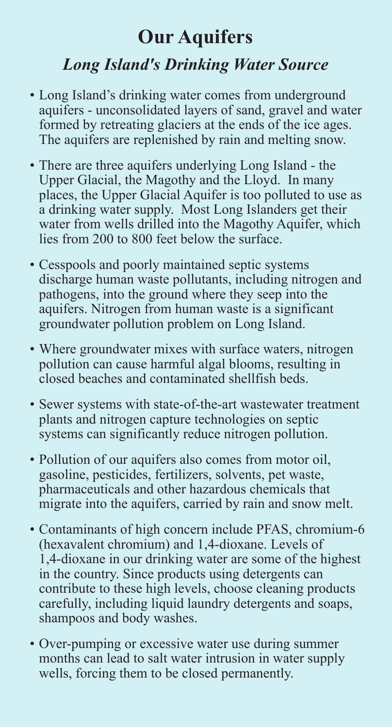## **Our Aquifers** *Long Island's Drinking Water Source*

- Long Island's drinking water comes from underground aquifers - unconsolidated layers of sand, gravel and water formed by retreating glaciers at the ends of the ice ages. The aquifers are replenished by rain and melting snow.
- There are three aquifers underlying Long Island the Upper Glacial, the Magothy and the Lloyd. In many places, the Upper Glacial Aquifer is too polluted to use as a drinking water supply. Most Long Islanders get their water from wells drilled into the Magothy Aquifer, which lies from 200 to 800 feet below the surface.
- Cesspools and poorly maintained septic systems discharge human waste pollutants, including nitrogen and pathogens, into the ground where they seep into the aquifers. Nitrogen from human waste is a significant groundwater pollution problem on Long Island.
- Where groundwater mixes with surface waters, nitrogen pollution can cause harmful algal blooms, resulting in closed beaches and contaminated shellfish beds.
- Sewer systems with state-of-the-art wastewater treatment plants and nitrogen capture technologies on septic systems can significantly reduce nitrogen pollution.
- Pollution of our aquifers also comes from motor oil, gasoline, pesticides, fertilizers, solvents, pet waste, pharmaceuticals and other hazardous chemicals that migrate into the aquifers, carried by rain and snow melt.
- Contaminants of high concern include PFAS, chromium-6 (hexavalent chromium) and 1,4-dioxane. Levels of 1,4-dioxane in our drinking water are some of the highest in the country. Since products using detergents can contribute to these high levels, choose cleaning products carefully, including liquid laundry detergents and soaps, shampoos and body washes.
- Over-pumping or excessive water use during summer months can lead to salt water intrusion in water supply wells, forcing them to be closed permanently.